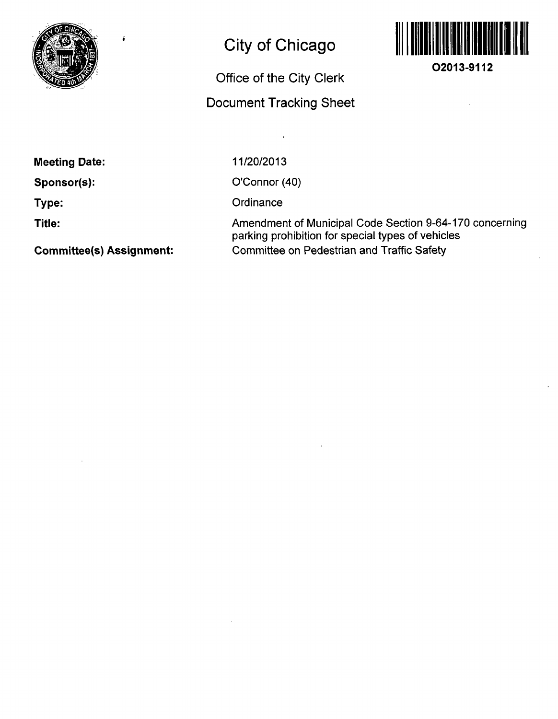

## **City of Chicago**

## **Office of the City Clerk**

## **Document Tracking Sheet**

 $\mathbf{r}$ 



**02013-9112** 

**Meeting Date:** 

**Sponsor(s):** 

**Type:** 

**Title:** 

**Committee(s) Assignment:** 

11/20/2013

O'Connor (40)

**Ordinance** 

Amendment of Municipal Code Section 9-64-170 concerning parking prohibition for special types of vehicles Committee on Pedestrian and Traffic Safety